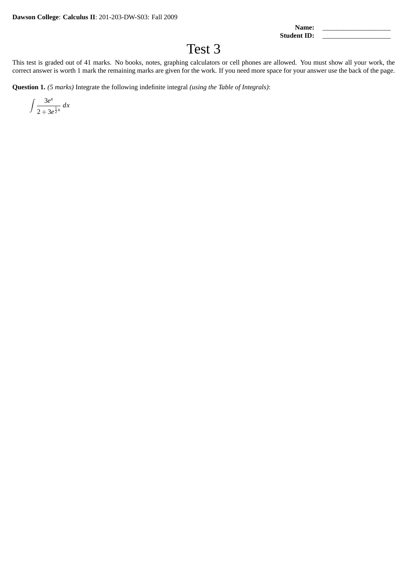Name:

**Student ID:** 

## Test 3

This test is graded out of 41 marks. No books, notes, graphing calculators or cell phones are allowed. You must show all your work, the correct answer is worth 1 mark the remaining marks are given for the work. If you need more space for your answer use the back of the page.

**Question 1.** *(5 marks)* Integrate the following indefinite integral *(using the Table of Integrals)*:

$$
\int \frac{3e^x}{2 + 3e^{\frac{1}{2}x}} dx
$$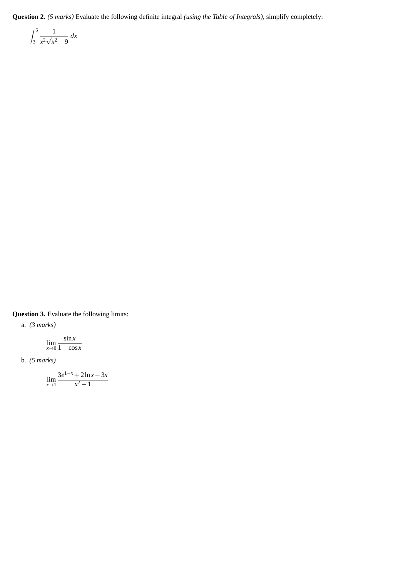**Question 2.** *(5 marks)* Evaluate the following definite integral *(using the Table of Integrals)*, simplify completely:

$$
\int_3^5 \frac{1}{x^2 \sqrt{x^2 - 9}} dx
$$

**Question 3.** Evaluate the following limits:

a. *(3 marks)*

$$
\lim_{x\to 0}\frac{\sin x}{1-\cos x}
$$

b. *(5 marks)*

$$
\lim_{x \to 1} \frac{3e^{1-x} + 2\ln x - 3x}{x^2 - 1}
$$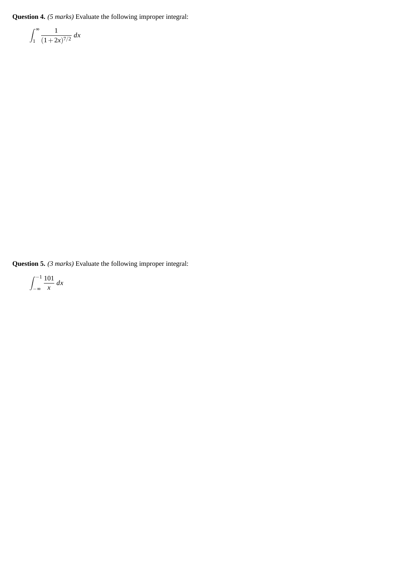**Question 4.** *(5 marks)* Evaluate the following improper integral:

$$
\int_{1}^{\infty} \frac{1}{(1+2x)^{7/2}} \, dx
$$

**Question 5.** *(3 marks)* Evaluate the following improper integral:

$$
\int_{-\infty}^{-1} \frac{101}{x} \, dx
$$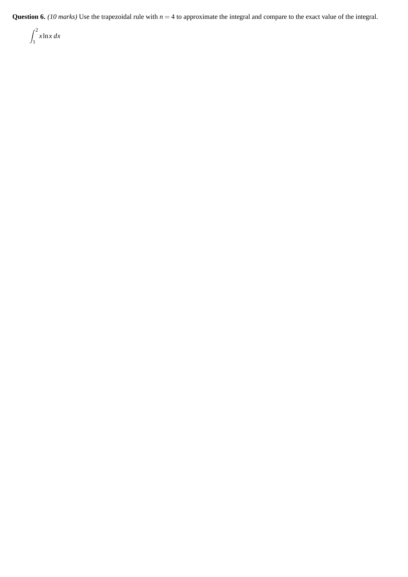**Question 6.** *(10 marks)* Use the trapezoidal rule with *n* = 4 to approximate the integral and compare to the exact value of the integral.

$$
\int_1^2 x \ln x \, dx
$$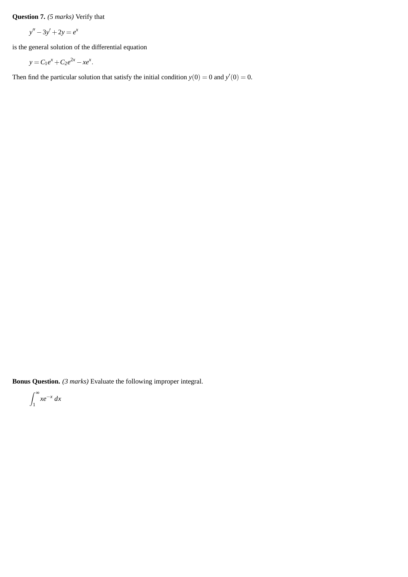**Question 7.** *(5 marks)* Verify that

$$
y'' - 3y' + 2y = e^x
$$

is the general solution of the differential equation

$$
y = C_1 e^x + C_2 e^{2x} - x e^x.
$$

Then find the particular solution that satisfy the initial condition  $y(0) = 0$  and  $y'(0) = 0$ .

**Bonus Question.** *(3 marks)* Evaluate the following improper integral.

$$
\int_1^\infty xe^{-x}\,dx
$$